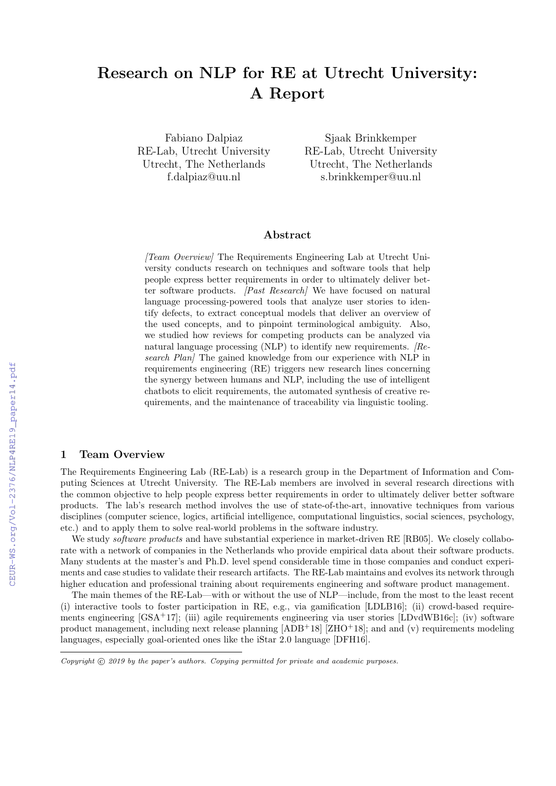# Research on NLP for RE at Utrecht University: A Report

Fabiano Dalpiaz RE-Lab, Utrecht University Utrecht, The Netherlands f.dalpiaz@uu.nl

Sjaak Brinkkemper RE-Lab, Utrecht University Utrecht, The Netherlands s.brinkkemper@uu.nl

## Abstract

[Team Overview] The Requirements Engineering Lab at Utrecht University conducts research on techniques and software tools that help people express better requirements in order to ultimately deliver better software products. *[Past Research]* We have focused on natural language processing-powered tools that analyze user stories to identify defects, to extract conceptual models that deliver an overview of the used concepts, and to pinpoint terminological ambiguity. Also, we studied how reviews for competing products can be analyzed via natural language processing (NLP) to identify new requirements.  $Re$ search Plan] The gained knowledge from our experience with NLP in requirements engineering (RE) triggers new research lines concerning the synergy between humans and NLP, including the use of intelligent chatbots to elicit requirements, the automated synthesis of creative requirements, and the maintenance of traceability via linguistic tooling.

## 1 Team Overview

The Requirements Engineering Lab (RE-Lab) is a research group in the Department of Information and Computing Sciences at Utrecht University. The RE-Lab members are involved in several research directions with the common objective to help people express better requirements in order to ultimately deliver better software products. The lab's research method involves the use of state-of-the-art, innovative techniques from various disciplines (computer science, logics, artificial intelligence, computational linguistics, social sciences, psychology, etc.) and to apply them to solve real-world problems in the software industry.

We study *software products* and have substantial experience in market-driven RE [RB05]. We closely collaborate with a network of companies in the Netherlands who provide empirical data about their software products. Many students at the master's and Ph.D. level spend considerable time in those companies and conduct experiments and case studies to validate their research artifacts. The RE-Lab maintains and evolves its network through higher education and professional training about requirements engineering and software product management.

The main themes of the RE-Lab—with or without the use of NLP—include, from the most to the least recent (i) interactive tools to foster participation in RE, e.g., via gamification [LDLB16]; (ii) crowd-based requirements engineering [GSA<sup>+</sup>17]; (iii) agile requirements engineering via user stories [LDvdWB16c]; (iv) software product management, including next release planning [ADB+18] [ZHO+18]; and and (v) requirements modeling languages, especially goal-oriented ones like the iStar 2.0 language [DFH16].

Copyright  $\odot$  2019 by the paper's authors. Copying permitted for private and academic purposes.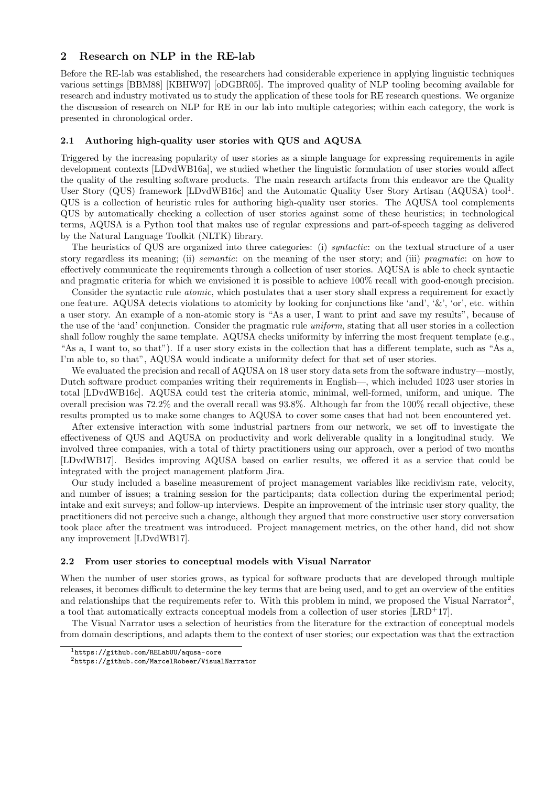## 2 Research on NLP in the RE-lab

Before the RE-lab was established, the researchers had considerable experience in applying linguistic techniques various settings [BBM88] [KBHW97] [oDGBR05]. The improved quality of NLP tooling becoming available for research and industry motivated us to study the application of these tools for RE research questions. We organize the discussion of research on NLP for RE in our lab into multiple categories; within each category, the work is presented in chronological order.

#### 2.1 Authoring high-quality user stories with QUS and AQUSA

Triggered by the increasing popularity of user stories as a simple language for expressing requirements in agile development contexts [LDvdWB16a], we studied whether the linguistic formulation of user stories would affect the quality of the resulting software products. The main research artifacts from this endeavor are the Quality User Story (QUS) framework [LDvdWB16c] and the Automatic Quality User Story Artisan (AQUSA) tool<sup>1</sup>. QUS is a collection of heuristic rules for authoring high-quality user stories. The AQUSA tool complements QUS by automatically checking a collection of user stories against some of these heuristics; in technological terms, AQUSA is a Python tool that makes use of regular expressions and part-of-speech tagging as delivered by the Natural Language Toolkit (NLTK) library.

The heuristics of QUS are organized into three categories: (i) syntactic: on the textual structure of a user story regardless its meaning; (ii) semantic: on the meaning of the user story; and (iii) pragmatic: on how to effectively communicate the requirements through a collection of user stories. AQUSA is able to check syntactic and pragmatic criteria for which we envisioned it is possible to achieve 100% recall with good-enough precision.

Consider the syntactic rule *atomic*, which postulates that a user story shall express a requirement for exactly one feature. AQUSA detects violations to atomicity by looking for conjunctions like 'and', '&', 'or', etc. within a user story. An example of a non-atomic story is "As a user, I want to print and save my results", because of the use of the 'and' conjunction. Consider the pragmatic rule uniform, stating that all user stories in a collection shall follow roughly the same template. AQUSA checks uniformity by inferring the most frequent template (e.g., "As a, I want to, so that"). If a user story exists in the collection that has a different template, such as "As a, I'm able to, so that", AQUSA would indicate a uniformity defect for that set of user stories.

We evaluated the precision and recall of AQUSA on 18 user story data sets from the software industry—mostly, Dutch software product companies writing their requirements in English—, which included 1023 user stories in total [LDvdWB16c]. AQUSA could test the criteria atomic, minimal, well-formed, uniform, and unique. The overall precision was 72.2% and the overall recall was 93.8%. Although far from the 100% recall objective, these results prompted us to make some changes to AQUSA to cover some cases that had not been encountered yet.

After extensive interaction with some industrial partners from our network, we set off to investigate the effectiveness of QUS and AQUSA on productivity and work deliverable quality in a longitudinal study. We involved three companies, with a total of thirty practitioners using our approach, over a period of two months [LDvdWB17]. Besides improving AQUSA based on earlier results, we offered it as a service that could be integrated with the project management platform Jira.

Our study included a baseline measurement of project management variables like recidivism rate, velocity, and number of issues; a training session for the participants; data collection during the experimental period; intake and exit surveys; and follow-up interviews. Despite an improvement of the intrinsic user story quality, the practitioners did not perceive such a change, although they argued that more constructive user story conversation took place after the treatment was introduced. Project management metrics, on the other hand, did not show any improvement [LDvdWB17].

#### 2.2 From user stories to conceptual models with Visual Narrator

When the number of user stories grows, as typical for software products that are developed through multiple releases, it becomes difficult to determine the key terms that are being used, and to get an overview of the entities and relationships that the requirements refer to. With this problem in mind, we proposed the Visual Narrator<sup>2</sup>, a tool that automatically extracts conceptual models from a collection of user stories [LRD<sup>+</sup>17].

The Visual Narrator uses a selection of heuristics from the literature for the extraction of conceptual models from domain descriptions, and adapts them to the context of user stories; our expectation was that the extraction

<sup>1</sup>https://github.com/RELabUU/aqusa-core

<sup>2</sup>https://github.com/MarcelRobeer/VisualNarrator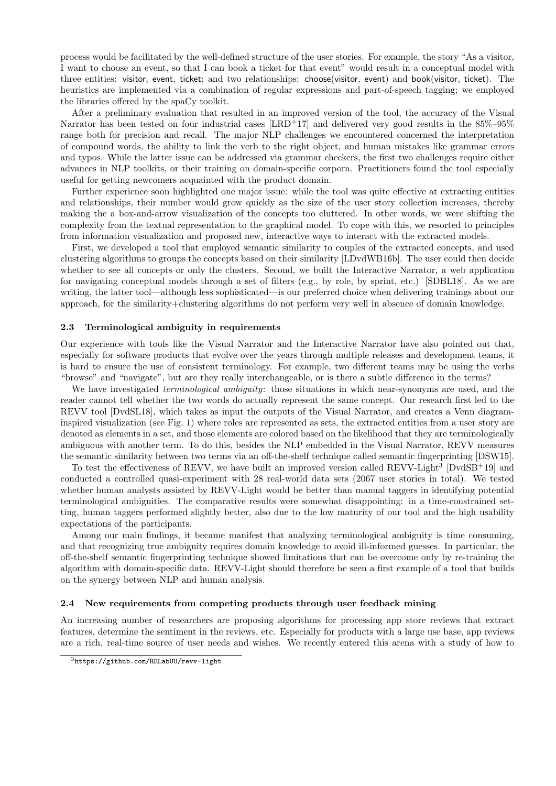process would be facilitated by the well-defined structure of the user stories. For example, the story "As a visitor, I want to choose an event, so that I can book a ticket for that event" would result in a conceptual model with three entities: visitor, event, ticket; and two relationships: choose(visitor, event) and book(visitor, ticket). The heuristics are implemented via a combination of regular expressions and part-of-speech tagging; we employed the libraries offered by the spaCy toolkit.

After a preliminary evaluation that resulted in an improved version of the tool, the accuracy of the Visual Narrator has been tested on four industrial cases [LRD+17] and delivered very good results in the 85%–95% range both for precision and recall. The major NLP challenges we encountered concerned the interpretation of compound words, the ability to link the verb to the right object, and human mistakes like grammar errors and typos. While the latter issue can be addressed via grammar checkers, the first two challenges require either advances in NLP toolkits, or their training on domain-specific corpora. Practitioners found the tool especially useful for getting newcomers acquainted with the product domain.

Further experience soon highlighted one major issue: while the tool was quite effective at extracting entities and relationships, their number would grow quickly as the size of the user story collection increases, thereby making the a box-and-arrow visualization of the concepts too cluttered. In other words, we were shifting the complexity from the textual representation to the graphical model. To cope with this, we resorted to principles from information visualization and proposed new, interactive ways to interact with the extracted models.

First, we developed a tool that employed semantic similarity to couples of the extracted concepts, and used clustering algorithms to groups the concepts based on their similarity [LDvdWB16b]. The user could then decide whether to see all concepts or only the clusters. Second, we built the Interactive Narrator, a web application for navigating conceptual models through a set of filters (e.g., by role, by sprint, etc.) [SDBL18]. As we are writing, the latter tool—although less sophisticated—is our preferred choice when delivering trainings about our approach, for the similarity+clustering algorithms do not perform very well in absence of domain knowledge.

#### 2.3 Terminological ambiguity in requirements

Our experience with tools like the Visual Narrator and the Interactive Narrator have also pointed out that, especially for software products that evolve over the years through multiple releases and development teams, it is hard to ensure the use of consistent terminology. For example, two different teams may be using the verbs "browse" and "navigate", but are they really interchangeable, or is there a subtle difference in the terms?

We have investigated *terminological ambiguity*: those situations in which near-synonyms are used, and the reader cannot tell whether the two words do actually represent the same concept. Our research first led to the REVV tool [DvdSL18], which takes as input the outputs of the Visual Narrator, and creates a Venn diagraminspired visualization (see Fig. 1) where roles are represented as sets, the extracted entities from a user story are denoted as elements in a set, and those elements are colored based on the likelihood that they are terminologically ambiguous with another term. To do this, besides the NLP embedded in the Visual Narrator, REVV measures the semantic similarity between two terms via an off-the-shelf technique called semantic fingerprinting [DSW15].

To test the effectiveness of REVV, we have built an improved version called REVV-Light<sup>3</sup> [DvdSB<sup>+</sup>19] and conducted a controlled quasi-experiment with 28 real-world data sets (2067 user stories in total). We tested whether human analysts assisted by REVV-Light would be better than manual taggers in identifying potential terminological ambiguities. The comparative results were somewhat disappointing: in a time-constrained setting, human taggers performed slightly better, also due to the low maturity of our tool and the high usability expectations of the participants.

Among our main findings, it became manifest that analyzing terminological ambiguity is time consuming, and that recognizing true ambiguity requires domain knowledge to avoid ill-informed guesses. In particular, the off-the-shelf semantic fingerprinting technique showed limitations that can be overcome only by re-training the algorithm with domain-specific data. REVV-Light should therefore be seen a first example of a tool that builds on the synergy between NLP and human analysis.

#### 2.4 New requirements from competing products through user feedback mining

An increasing number of researchers are proposing algorithms for processing app store reviews that extract features, determine the sentiment in the reviews, etc. Especially for products with a large use base, app reviews are a rich, real-time source of user needs and wishes. We recently entered this arena with a study of how to

<sup>3</sup>https://github.com/RELabUU/revv-light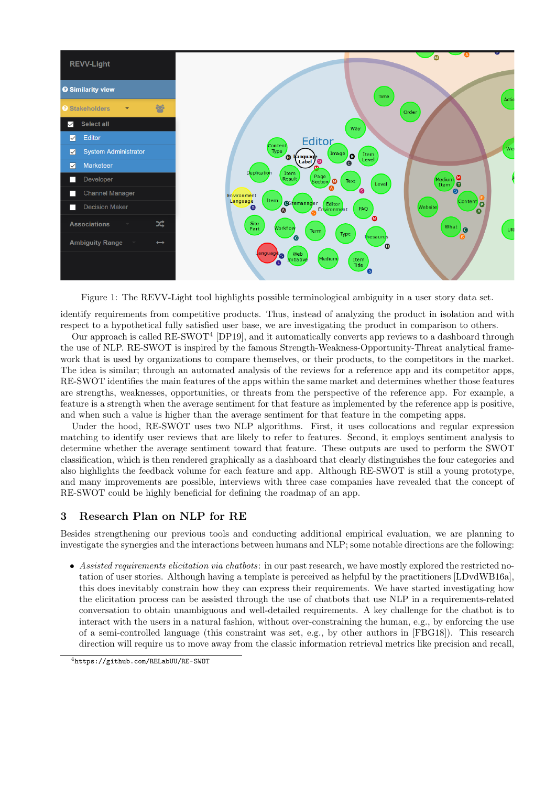

Figure 1: The REVV-Light tool highlights possible terminological ambiguity in a user story data set.

identify requirements from competitive products. Thus, instead of analyzing the product in isolation and with respect to a hypothetical fully satisfied user base, we are investigating the product in comparison to others.

Our approach is called  $RE-SWOT<sup>4</sup>$  [DP19], and it automatically converts app reviews to a dashboard through the use of NLP. RE-SWOT is inspired by the famous Strength-Weakness-Opportunity-Threat analytical framework that is used by organizations to compare themselves, or their products, to the competitors in the market. The idea is similar; through an automated analysis of the reviews for a reference app and its competitor apps, RE-SWOT identifies the main features of the apps within the same market and determines whether those features are strengths, weaknesses, opportunities, or threats from the perspective of the reference app. For example, a feature is a strength when the average sentiment for that feature as implemented by the reference app is positive, and when such a value is higher than the average sentiment for that feature in the competing apps.

Under the hood, RE-SWOT uses two NLP algorithms. First, it uses collocations and regular expression matching to identify user reviews that are likely to refer to features. Second, it employs sentiment analysis to determine whether the average sentiment toward that feature. These outputs are used to perform the SWOT classification, which is then rendered graphically as a dashboard that clearly distinguishes the four categories and also highlights the feedback volume for each feature and app. Although RE-SWOT is still a young prototype, and many improvements are possible, interviews with three case companies have revealed that the concept of RE-SWOT could be highly beneficial for defining the roadmap of an app.

## 3 Research Plan on NLP for RE

Besides strengthening our previous tools and conducting additional empirical evaluation, we are planning to investigate the synergies and the interactions between humans and NLP; some notable directions are the following:

• Assisted requirements elicitation via chatbots: in our past research, we have mostly explored the restricted notation of user stories. Although having a template is perceived as helpful by the practitioners [LDvdWB16a], this does inevitably constrain how they can express their requirements. We have started investigating how the elicitation process can be assisted through the use of chatbots that use NLP in a requirements-related conversation to obtain unambiguous and well-detailed requirements. A key challenge for the chatbot is to interact with the users in a natural fashion, without over-constraining the human, e.g., by enforcing the use of a semi-controlled language (this constraint was set, e.g., by other authors in [FBG18]). This research direction will require us to move away from the classic information retrieval metrics like precision and recall,

<sup>4</sup>https://github.com/RELabUU/RE-SWOT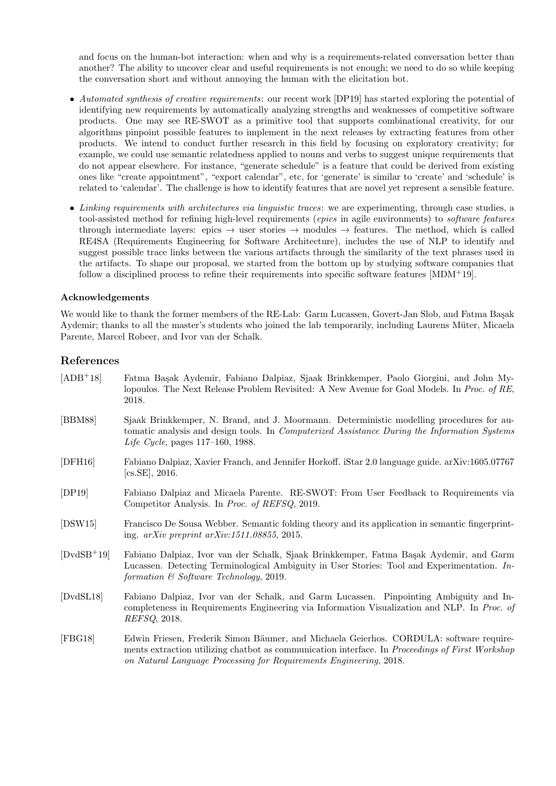and focus on the human-bot interaction: when and why is a requirements-related conversation better than another? The ability to uncover clear and useful requirements is not enough; we need to do so while keeping the conversation short and without annoying the human with the elicitation bot.

- Automated synthesis of creative requirements: our recent work [DP19] has started exploring the potential of identifying new requirements by automatically analyzing strengths and weaknesses of competitive software products. One may see RE-SWOT as a primitive tool that supports combinational creativity, for our algorithms pinpoint possible features to implement in the next releases by extracting features from other products. We intend to conduct further research in this field by focusing on exploratory creativity; for example, we could use semantic relatedness applied to nouns and verbs to suggest unique requirements that do not appear elsewhere. For instance, "generate schedule" is a feature that could be derived from existing ones like "create appointment", "export calendar", etc, for 'generate' is similar to 'create' and 'schedule' is related to 'calendar'. The challenge is how to identify features that are novel yet represent a sensible feature.
- Linking requirements with architectures via linguistic traces: we are experimenting, through case studies, a tool-assisted method for refining high-level requirements (*epics* in agile environments) to *software features* through intermediate layers: epics  $\rightarrow$  user stories  $\rightarrow$  modules  $\rightarrow$  features. The method, which is called RE4SA (Requirements Engineering for Software Architecture), includes the use of NLP to identify and suggest possible trace links between the various artifacts through the similarity of the text phrases used in the artifacts. To shape our proposal, we started from the bottom up by studying software companies that follow a disciplined process to refine their requirements into specific software features  $[MDM^+19]$ .

### Acknowledgements

We would like to thank the former members of the RE-Lab: Garm Lucassen, Govert-Jan Slob, and Fatma Basak Aydemir; thanks to all the master's students who joined the lab temporarily, including Laurens Müter, Micaela Parente, Marcel Robeer, and Ivor van der Schalk.

## References

| $[ADB+18]$    | Fatma Başak Aydemir, Fabiano Dalpiaz, Sjaak Brinkkemper, Paolo Giorgini, and John My-<br>lopoulos. The Next Release Problem Revisited: A New Avenue for Goal Models. In Proc. of RE,<br>2018.                                                                    |
|---------------|------------------------------------------------------------------------------------------------------------------------------------------------------------------------------------------------------------------------------------------------------------------|
| [BBM88]       | Sjaak Brinkkemper, N. Brand, and J. Moormann. Deterministic modelling procedures for au-<br>tomatic analysis and design tools. In <i>Computerized Assistance During the Information Systems</i><br><i>Life Cycle</i> , pages $117-160$ , 1988.                   |
| [DFH16]       | Fabiano Dalpiaz, Xavier Franch, and Jennifer Horkoff. iStar 2.0 language guide. arXiv:1605.07767<br>$[cs.SE]$ , 2016.                                                                                                                                            |
| [DP19]        | Fabiano Dalpiaz and Micaela Parente. RE-SWOT: From User Feedback to Requirements via<br>Competitor Analysis. In <i>Proc. of REFSQ</i> , 2019.                                                                                                                    |
| [DSW15]       | Francisco De Sousa Webber. Semantic folding theory and its application in semantic fingerprint-<br>ing. $arXiv$ preprint $arXiv:1511.08855$ , 2015.                                                                                                              |
| $[DvdSB^+19]$ | Fabiano Dalpiaz, Ivor van der Schalk, Sjaak Brinkkemper, Fatma Başak Aydemir, and Garm<br>Lucassen. Detecting Terminological Ambiguity in User Stories: Tool and Experimentation. In-<br>formation $\&$ Software Technology, 2019.                               |
| [DvdSL18]     | Fabiano Dalpiaz, Ivor van der Schalk, and Garm Lucassen. Pinpointing Ambiguity and In-<br>completeness in Requirements Engineering via Information Visualization and NLP. In Proc. of<br><i>REFSQ</i> , 2018.                                                    |
| [FBG18]       | Edwin Friesen, Frederik Simon Bäumer, and Michaela Geierhos. CORDULA: software require-<br>ments extraction utilizing chatbot as communication interface. In Proceedings of First Workshop<br>on Natural Language Processing for Requirements Engineering, 2018. |